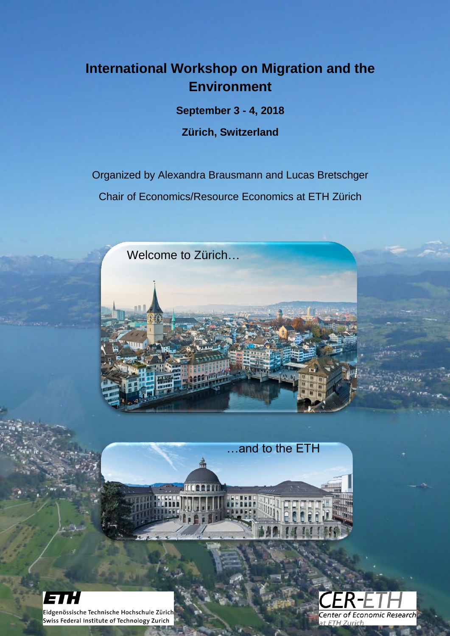# **International Workshop on Migration and the Environment**

**September 3 - 4, 2018** 

**Zürich, Switzerland**

Organized by Alexandra Brausmann and Lucas Bretschger Chair of Economics/Resource Economics at ETH Zürich



…and to the ETH



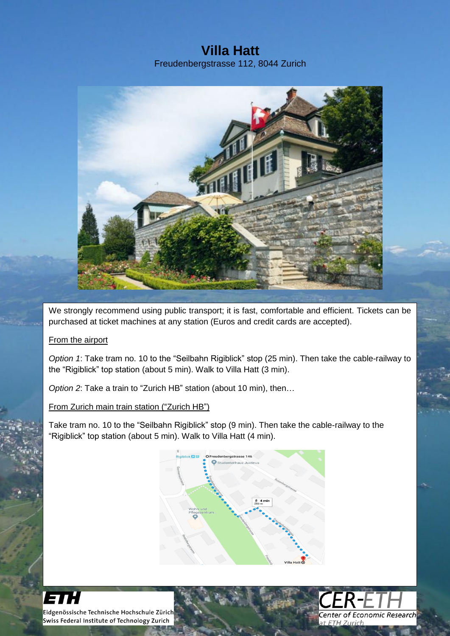### **Villa Hatt** Freudenbergstrasse 112, 8044 Zurich



We strongly recommend using public transport; it is fast, comfortable and efficient. Tickets can be purchased at ticket machines at any station (Euros and credit cards are accepted).

### From the airport

*Option 1*: Take tram no. 10 to the "Seilbahn Rigiblick" stop (25 min). Then take the cable-railway to the "Rigiblick" top station (about 5 min). Walk to Villa Hatt (3 min).

*Option 2*: Take a train to "Zurich HB" station (about 10 min), then…

From Zurich main train station ("Zurich HB")

Take tram no. 10 to the "Seilbahn Rigiblick" stop (9 min). Then take the cable-railway to the "Rigiblick" top station (about 5 min). Walk to Villa Hatt (4 min).





131: Eidgenössische Technische Hochschule Zürich<br>Swiss Federal Institute of Technology Zurich j